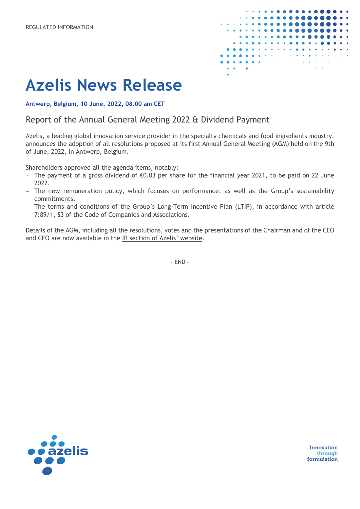

## **Azelis News Release**

**Antwerp, Belgium, 10 June, 2022, 08.00 am CET**

Report of the Annual General Meeting 2022 & Dividend Payment

Azelis, a leading global innovation service provider in the specialty chemicals and food ingredients industry, announces the adoption of all resolutions proposed at its first Annual General Meeting (AGM) held on the 9th of June, 2022, in Antwerp, Belgium.

Shareholders approved all the agenda items, notably:

- − The payment of a gross dividend of €0.03 per share for the financial year 2021, to be paid on 22 June 2022.
- − The new remuneration policy, which focuses on performance, as well as the Group's sustainability commitments.
- − The terms and conditions of the Group's Long-Term Incentive Plan (LTIP), in accordance with article 7:89/1, §3 of the Code of Companies and Associations.

Details of the AGM, including all the resolutions, votes and the presentations of the Chairman and of the CEO and CFO are now available in the [IR section of Azelis' website.](https://www.azelis.com/en/AGM2022)

- END –



Innovation through formulation